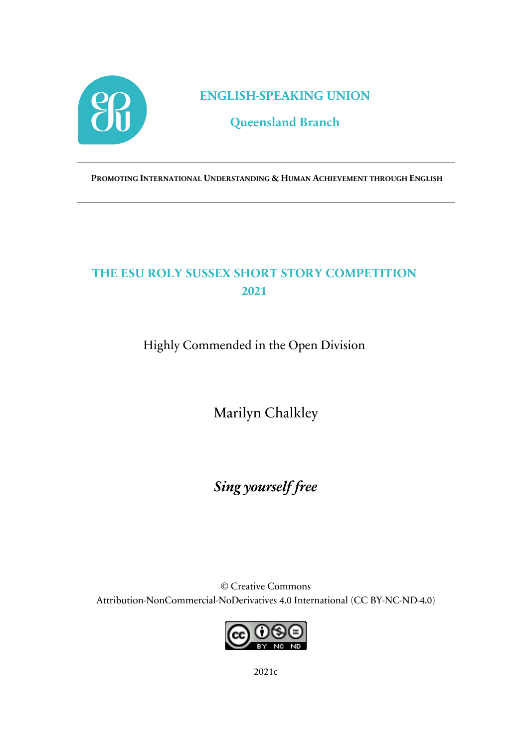

**ENGLISH-SPEAKING UNION**

## **Queensland Branch**

**PROMOTING INTERNATIONAL UNDERSTANDING & HUMAN ACHIEVEMENT THROUGH ENGLISH**

## **THE ESU ROLY SUSSEX SHORT STORY COMPETITION 2021**

Highly Commended in the Open Division

Marilyn Chalkley

*Sing yourself free*

© Creative Commons Attribution-NonCommercial-NoDerivatives 4.0 International (CC BY-NC-ND-4.0)



2021c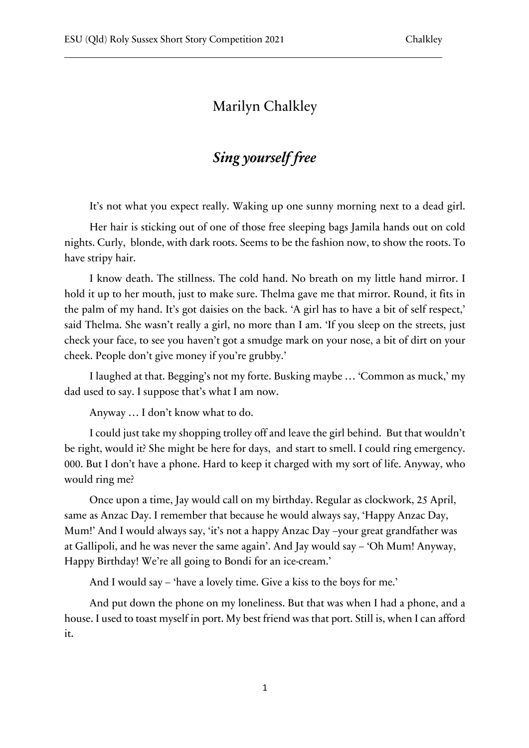## Marilyn Chalkley

## *Sing yourself free*

It's not what you expect really. Waking up one sunny morning next to a dead girl.

Her hair is sticking out of one of those free sleeping bags Jamila hands out on cold nights. Curly, blonde, with dark roots. Seems to be the fashion now, to show the roots. To have stripy hair.

I know death. The stillness. The cold hand. No breath on my little hand mirror. I hold it up to her mouth, just to make sure. Thelma gave me that mirror. Round, it fits in the palm of my hand. It's got daisies on the back. 'A girl has to have a bit of self respect,' said Thelma. She wasn't really a girl, no more than I am. 'If you sleep on the streets, just check your face, to see you haven't got a smudge mark on your nose, a bit of dirt on your cheek. People don't give money if you're grubby.'

I laughed at that. Begging's not my forte. Busking maybe … 'Common as muck,' my dad used to say. I suppose that's what I am now.

Anyway … I don't know what to do.

I could just take my shopping trolley off and leave the girl behind. But that wouldn't be right, would it? She might be here for days, and start to smell. I could ring emergency. 000. But I don't have a phone. Hard to keep it charged with my sort of life. Anyway, who would ring me?

Once upon a time, Jay would call on my birthday. Regular as clockwork, 25 April, same as Anzac Day. I remember that because he would always say, 'Happy Anzac Day, Mum!' And I would always say, 'it's not a happy Anzac Day –your great grandfather was at Gallipoli, and he was never the same again'. And Jay would say – 'Oh Mum! Anyway, Happy Birthday! We're all going to Bondi for an ice-cream.'

And I would say – 'have a lovely time. Give a kiss to the boys for me.'

And put down the phone on my loneliness. But that was when I had a phone, and a house. I used to toast myself in port. My best friend was that port. Still is, when I can afford it.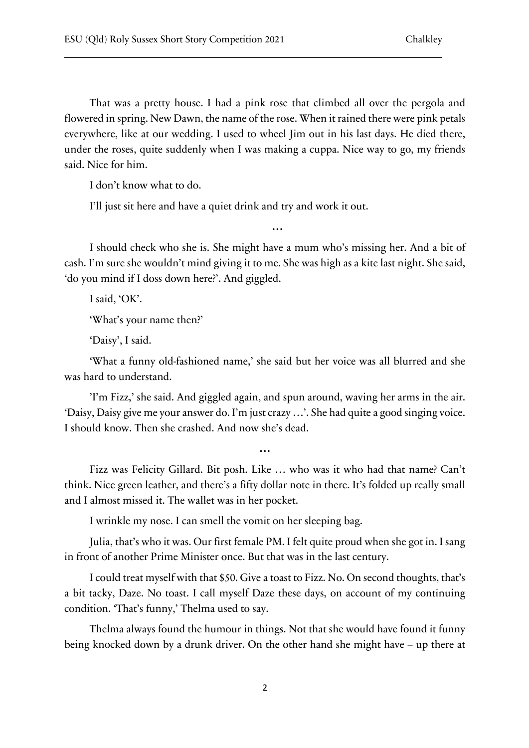That was a pretty house. I had a pink rose that climbed all over the pergola and flowered in spring. New Dawn, the name of the rose. When it rained there were pink petals everywhere, like at our wedding. I used to wheel Jim out in his last days. He died there, under the roses, quite suddenly when I was making a cuppa. Nice way to go, my friends said. Nice for him.

I don't know what to do.

I'll just sit here and have a quiet drink and try and work it out.

I should check who she is. She might have a mum who's missing her. And a bit of cash. I'm sure she wouldn't mind giving it to me. She was high as a kite last night. She said, 'do you mind if I doss down here?'. And giggled.

**…**

I said, 'OK'.

'What's your name then?'

'Daisy', I said.

'What a funny old-fashioned name,' she said but her voice was all blurred and she was hard to understand.

'I'm Fizz,' she said. And giggled again, and spun around, waving her arms in the air. 'Daisy, Daisy give me your answer do. I'm just crazy …'. She had quite a good singing voice. I should know. Then she crashed. And now she's dead.

Fizz was Felicity Gillard. Bit posh. Like … who was it who had that name? Can't think. Nice green leather, and there's a fifty dollar note in there. It's folded up really small and I almost missed it. The wallet was in her pocket.

**…**

I wrinkle my nose. I can smell the vomit on her sleeping bag.

Julia, that's who it was. Our first female PM. I felt quite proud when she got in. I sang in front of another Prime Minister once. But that was in the last century.

I could treat myself with that \$50. Give a toast to Fizz. No. On second thoughts, that's a bit tacky, Daze. No toast. I call myself Daze these days, on account of my continuing condition. 'That's funny,' Thelma used to say.

Thelma always found the humour in things. Not that she would have found it funny being knocked down by a drunk driver. On the other hand she might have – up there at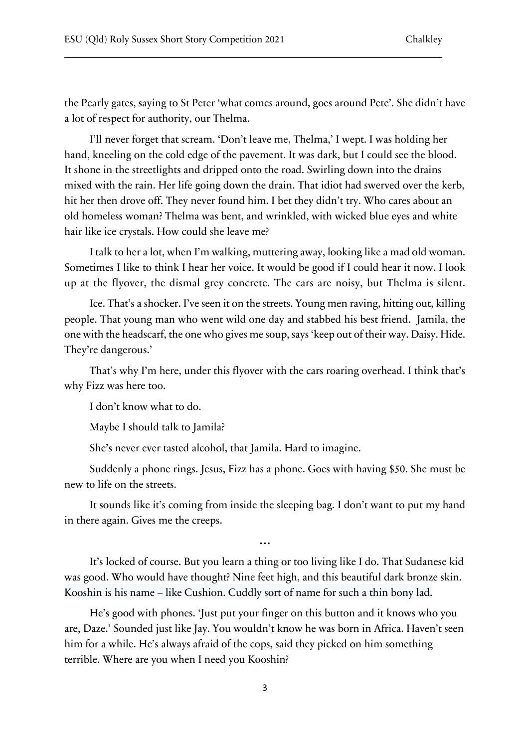the Pearly gates, saying to St Peter 'what comes around, goes around Pete'. She didn't have a lot of respect for authority, our Thelma.

I'll never forget that scream. 'Don't leave me, Thelma,' I wept. I was holding her hand, kneeling on the cold edge of the pavement. It was dark, but I could see the blood. It shone in the streetlights and dripped onto the road. Swirling down into the drains mixed with the rain. Her life going down the drain. That idiot had swerved over the kerb, hit her then drove off. They never found him. I bet they didn't try. Who cares about an old homeless woman? Thelma was bent, and wrinkled, with wicked blue eyes and white hair like ice crystals. How could she leave me?

I talk to her a lot, when I'm walking, muttering away, looking like a mad old woman. Sometimes I like to think I hear her voice. It would be good if I could hear it now. I look up at the flyover, the dismal grey concrete. The cars are noisy, but Thelma is silent.

Ice. That's a shocker. I've seen it on the streets. Young men raving, hitting out, killing people. That young man who went wild one day and stabbed his best friend. Jamila, the one with the headscarf, the one who gives me soup, says 'keep out of their way. Daisy. Hide. They're dangerous.'

That's why I'm here, under this flyover with the cars roaring overhead. I think that's why Fizz was here too.

I don't know what to do.

Maybe I should talk to Jamila?

She's never ever tasted alcohol, that Jamila. Hard to imagine.

Suddenly a phone rings. Jesus, Fizz has a phone. Goes with having \$50. She must be new to life on the streets.

It sounds like it's coming from inside the sleeping bag. I don't want to put my hand in there again. Gives me the creeps.

**…**

It's locked of course. But you learn a thing or too living like I do. That Sudanese kid was good. Who would have thought? Nine feet high, and this beautiful dark bronze skin. Kooshin is his name – like Cushion. Cuddly sort of name for such a thin bony lad.

He's good with phones. 'Just put your finger on this button and it knows who you are, Daze.' Sounded just like Jay. You wouldn't know he was born in Africa. Haven't seen him for a while. He's always afraid of the cops, said they picked on him something terrible. Where are you when I need you Kooshin?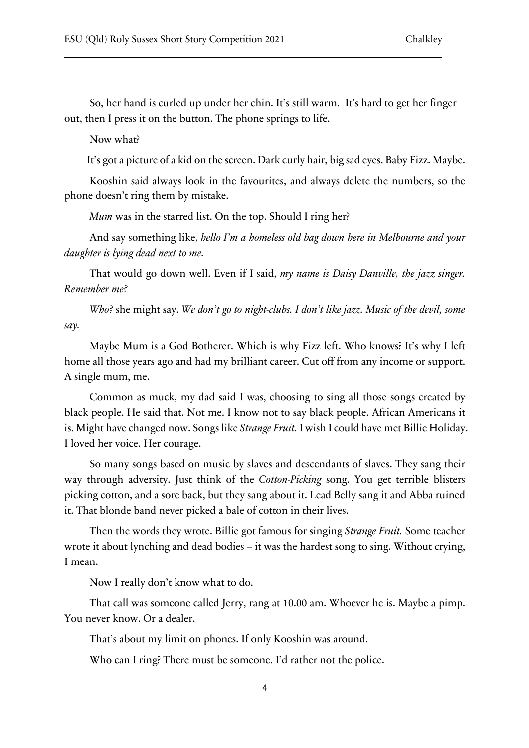So, her hand is curled up under her chin. It's still warm. It's hard to get her finger out, then I press it on the button. The phone springs to life.

Now what?

It's got a picture of a kid on the screen. Dark curly hair, big sad eyes. Baby Fizz. Maybe.

Kooshin said always look in the favourites, and always delete the numbers, so the phone doesn't ring them by mistake.

*Mum* was in the starred list. On the top. Should I ring her?

And say something like, *hello I'm a homeless old bag down here in Melbourne and your daughter is lying dead next to me.*

That would go down well. Even if I said, *my name is Daisy Danville, the jazz singer. Remember me?*

*Who?* she might say. *We don't go to night-clubs. I don't like jazz. Music of the devil, some say.*

Maybe Mum is a God Botherer. Which is why Fizz left. Who knows? It's why I left home all those years ago and had my brilliant career. Cut off from any income or support. A single mum, me.

Common as muck, my dad said I was, choosing to sing all those songs created by black people. He said that. Not me. I know not to say black people. African Americans it is. Might have changed now. Songs like *Strange Fruit.* I wish I could have met Billie Holiday. I loved her voice. Her courage.

So many songs based on music by slaves and descendants of slaves. They sang their way through adversity. Just think of the *Cotton-Picking* song. You get terrible blisters picking cotton, and a sore back, but they sang about it. Lead Belly sang it and Abba ruined it. That blonde band never picked a bale of cotton in their lives.

Then the words they wrote. Billie got famous for singing *Strange Fruit.* Some teacher wrote it about lynching and dead bodies – it was the hardest song to sing. Without crying, I mean.

Now I really don't know what to do.

That call was someone called Jerry, rang at 10.00 am. Whoever he is. Maybe a pimp. You never know. Or a dealer.

That's about my limit on phones. If only Kooshin was around.

Who can I ring? There must be someone. I'd rather not the police.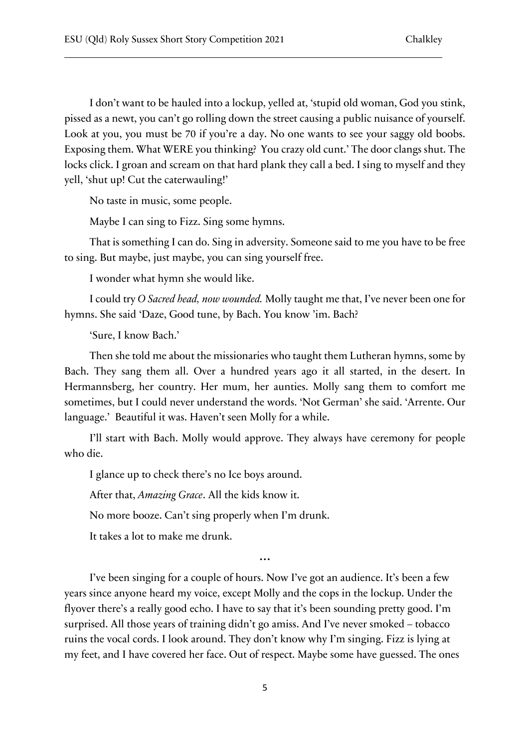I don't want to be hauled into a lockup, yelled at, 'stupid old woman, God you stink, pissed as a newt, you can't go rolling down the street causing a public nuisance of yourself. Look at you, you must be 70 if you're a day. No one wants to see your saggy old boobs. Exposing them. What WERE you thinking? You crazy old cunt.' The door clangs shut. The locks click. I groan and scream on that hard plank they call a bed. I sing to myself and they yell, 'shut up! Cut the caterwauling!'

No taste in music, some people.

Maybe I can sing to Fizz. Sing some hymns.

That is something I can do. Sing in adversity. Someone said to me you have to be free to sing. But maybe, just maybe, you can sing yourself free.

I wonder what hymn she would like.

I could try *O Sacred head, now wounded.* Molly taught me that, I've never been one for hymns. She said 'Daze, Good tune, by Bach. You know 'im. Bach?

'Sure, I know Bach.'

Then she told me about the missionaries who taught them Lutheran hymns, some by Bach. They sang them all. Over a hundred years ago it all started, in the desert. In Hermannsberg, her country. Her mum, her aunties. Molly sang them to comfort me sometimes, but I could never understand the words. 'Not German' she said. 'Arrente. Our language.' Beautiful it was. Haven't seen Molly for a while.

I'll start with Bach. Molly would approve. They always have ceremony for people who die.

I glance up to check there's no Ice boys around.

After that, *Amazing Grace*. All the kids know it.

No more booze. Can't sing properly when I'm drunk.

It takes a lot to make me drunk.

**…**

I've been singing for a couple of hours. Now I've got an audience. It's been a few years since anyone heard my voice, except Molly and the cops in the lockup. Under the flyover there's a really good echo. I have to say that it's been sounding pretty good. I'm surprised. All those years of training didn't go amiss. And I've never smoked – tobacco ruins the vocal cords. I look around. They don't know why I'm singing. Fizz is lying at my feet, and I have covered her face. Out of respect. Maybe some have guessed. The ones